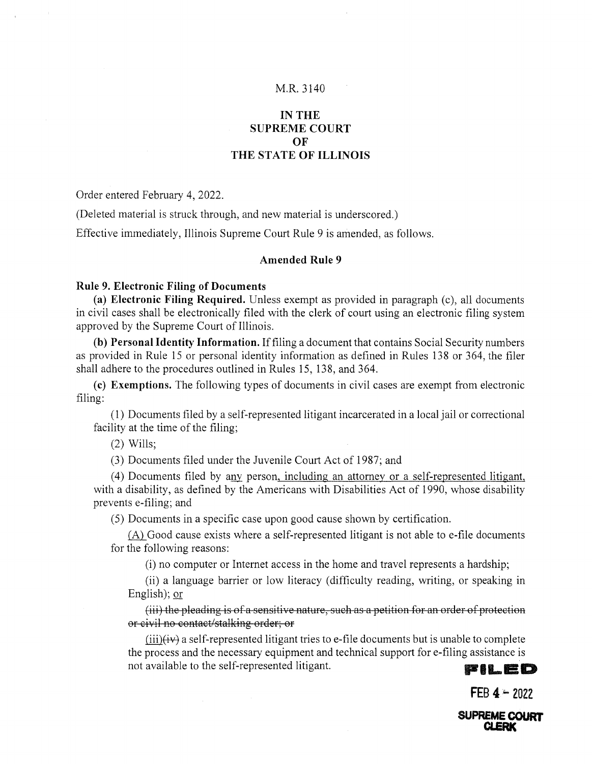# M.R. 3140

# **IN THE SUPREME COURT OF THE STATE OF ILLINOIS**

Order entered February 4, 2022.

(Deleted material is struck through, and new material is underscored.)

Effective immediately, Illinois Supreme Court Rule 9 is amended, as follows.

### **Amended Rule 9**

### **Rule 9. Electronic Filing of Documents**

**(a) Electronic Filing Required.** Unless exempt as provided in paragraph (c), all documents in civil cases shall be electronically filed with the clerk of court using an electronic filing system approved by the Supreme Court of Illinois.

**(b) Personal Identity Information.** If filing a document that contains Social Security numbers as provided in Rule 15 or personal identity information as defined in Rules 138 or 364, the filer shall adhere to the procedures outlined in Rules 15, 138, and 364.

( **c) Exemptions.** The following types of documents in civil cases are exempt from electronic filing:

( 1) Documents filed by a self-represented litigant incarcerated in a local jail or correctional facility at the time of the filing;

(2) Wills;

(3) Documents filed under the Juvenile Court Act of 1987; and

 $(4)$  Documents filed by any person, including an attorney or a self-represented litigant, with a disability, as defined by the Americans with Disabilities Act of 1990, whose disability prevents e-filing; and

(5) Documents in a specific case upon good cause shown by certification.

 $(A)$  Good cause exists where a self-represented litigant is not able to e-file documents for the following reasons:

(i) no computer or Internet access in the home and travel represents a hardship;

(ii) a language barrier or low literacy ( difficulty reading, writing, or speaking in English); or

(iii) the pleading is of a sensitive nature, such as a petition for an order of protection or civil no contact/stalking order; or

 $(iii)(iv)$  a self-represented litigant tries to e-file documents but is unable to complete the process and the necessary equipment and technical support fore-filing assistance is not available to the self-represented litigant. **<sup>p</sup>ILE D** 

 $FEB$  4  $-$  2022

**SUPREME COURT Cl.ERK**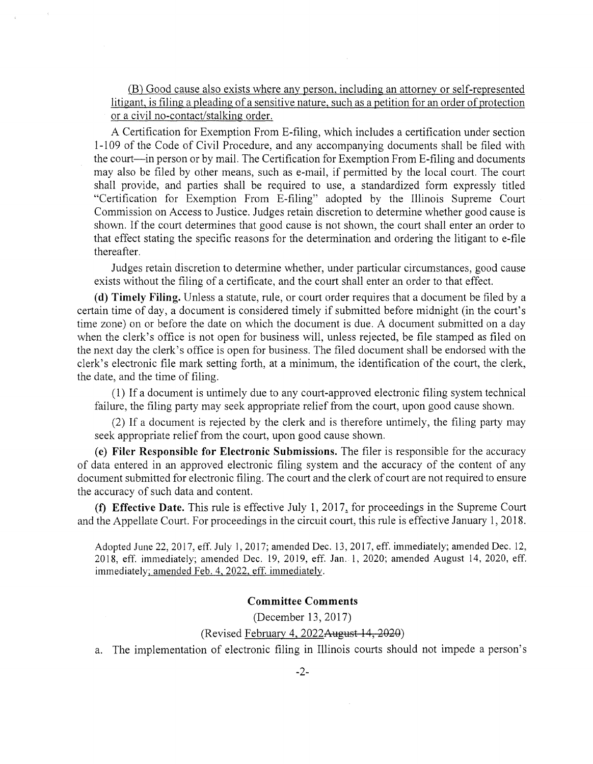(B) Good cause also exists where any person, including an attorney or self-represented litigant, is filing a pleading of a sensitive nature, such as a petition for an order of protection or a civil no-contact/stalking order.

A Certification for Exemption From E-filing, which includes a certification under section 1-109 of the Code of Civil Procedure, and any accompanying documents shall be filed with the court—in person or by mail. The Certification for Exemption From E-filing and documents may also be filed by other means, such as e-mail, if permitted by the local court. The court shall provide, and parties shall be required to use, a standardized form expressly titled "Certification for Exemption From E-filing" adopted by the Illinois Supreme Court Commission on Access to Justice. Judges retain discretion to determine whether good cause is shown. If the court determines that good cause is not shown, the court shall enter an order to that effect stating the specific reasons for the determination and ordering the litigant to e-file thereafter.

Judges retain discretion to determine whether, under particular circumstances, good cause exists without the filing of a certificate, and the court shall enter an order to that effect.

**(d) Timely Filing.** Unless a statute, rule, or court order requires that a document be filed by a certain time of day, a document is considered timely if submitted before midnight (in the court's time zone) on or before the date on which the document is due. A document submitted on a day when the clerk's office is not open for business will, unless rejected, be file stamped as filed on the next day the clerk's office is open for business. The filed document shall be endorsed with the clerk's electronic file mark setting forth, at a minimum, the identification of the court, the clerk, the date, and the time of filing.

(1) If a document is untimely due to any court-approved electronic filing system technical failure, the filing party may seek appropriate relief from the court, upon good cause shown.

(2) If a document is rejected by the clerk and is therefore untimely, the filing party may seek appropriate relief from the court, upon good cause shown.

**(e) Filer Responsible for Electronic Submissions.** The filer is responsible for the accuracy of data entered in an approved electronic filing system and the accuracy of the content of any document submitted for electronic filing. The court and the clerk of court are not required to ensure the accuracy of such data and content.

**(f) Effective Date.** This rule is effective July 1, 2017., for proceedings in the Supreme Court and the Appellate Court. For proceedings in the circuit court, this rule is effective January 1, 2018.

Adopted June 22, 2017, eff. July 1, 2017; amended Dec. 13, 2017, eff. immediately; amended Dec. 12, 2018, eff. immediately; amended Dec. 19, 2019, eff. Jan. 1, 2020; amended August 14, 2020, eff. immediately; amended Feb. 4, 2022, eff. immediately.

# **Committee Comments**

(December 13, 2017)

#### (Revised February 4, 2022August 14, 2020)

a. The implementation of electronic filing in Illinois courts should not impede a person's